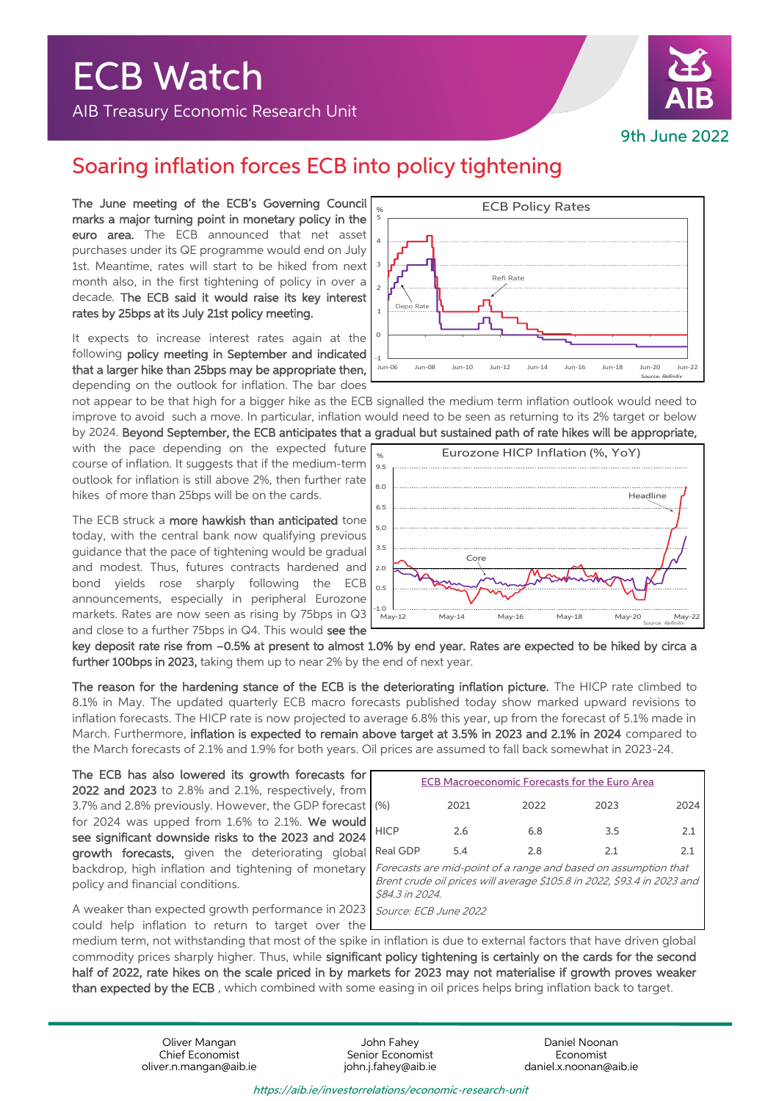## ECB Watch

AIB Treasury Economic Research Unit



Source: Refinitiv

## Soaring inflation forces ECB into policy tightening

The June meeting of the ECB's Governing Council marks a major turning point in monetary policy in the euro area. The ECB announced that net asset purchases under its QE programme would end on July 1st. Meantime, rates will start to be hiked from next month also, in the first tightening of policy in over a decade. The ECB said it would raise its key interest rates by 25bps at its July 21st policy meeting.

It expects to increase interest rates again at the following policy meeting in September and indicated that a larger hike than 25bps may be appropriate then, depending on the outlook for inflation. The bar does

not appear to be that high for a bigger hike as the ECB signalled the medium term inflation outlook would need to improve to avoid such a move. In particular, inflation would need to be seen as returning to its 2% target or below

Depo Rate

with the pace depending on the expected future course of inflation. It suggests that if the medium-term outlook for inflation is still above 2%, then further rate hikes of more than 25bps will be on the cards.

The ECB struck a more hawkish than anticipated tone today, with the central bank now qualifying previous guidance that the pace of tightening would be gradual and modest. Thus, futures contracts hardened and bond yields rose sharply following the ECB announcements, especially in peripheral Eurozone markets. Rates are now seen as rising by 75bps in Q3 and close to a further 75bps in Q4. This would see the



Jun-06 Jun-08 Jun-10 Jun-12 Jun-14 Jun-16 Jun-18 Jun-20 Jun-22

**ECB Policy Rates** 

Refi Rate

key deposit rate rise from –0.5% at present to almost 1.0% by end year. Rates are expected to be hiked by circa a further 100bps in 2023, taking them up to near 2% by the end of next year.

The reason for the hardening stance of the ECB is the deteriorating inflation picture. The HICP rate climbed to 8.1% in May. The updated quarterly ECB macro forecasts published today show marked upward revisions to inflation forecasts. The HICP rate is now projected to average 6.8% this year, up from the forecast of 5.1% made in March. Furthermore, inflation is expected to remain above target at 3.5% in 2023 and 2.1% in 2024 compared to the March forecasts of 2.1% and 1.9% for both years. Oil prices are assumed to fall back somewhat in 2023-24.

The ECB has also lowered its growth forecasts for 2022 and 2023 to 2.8% and 2.1%, respectively, from 3.7% and 2.8% previously. However, the GDP forecast for 2024 was upped from 1.6% to 2.1%. We would see significant downside risks to the 2023 and 2024 growth forecasts, given the deteriorating global backdrop, high inflation and tightening of monetary policy and financial conditions.

|                       |      | <b>ECB Macroeconomic Forecasts for the Euro Area</b>                                                                                       |      |      |
|-----------------------|------|--------------------------------------------------------------------------------------------------------------------------------------------|------|------|
| (% )                  | 2021 | 2022                                                                                                                                       | 2023 | 2024 |
| <b>HICP</b>           | 2.6  | 6.8                                                                                                                                        | 3.5  | 2.1  |
| Real GDP              | 5.4  | 2.8                                                                                                                                        | 2.1  | 2.1  |
| \$84.3 in 2024.       |      | Forecasts are mid-point of a range and based on assumption that<br>Brent crude oil prices will average \$105.8 in 2022, \$93.4 in 2023 and |      |      |
| Source: ECB June 2022 |      |                                                                                                                                            |      |      |

A weaker than expected growth performance in 2023 could help inflation to return to target over the

medium term, not withstanding that most of the spike in inflation is due to external factors that have driven global commodity prices sharply higher. Thus, while significant policy tightening is certainly on the cards for the second half of 2022, rate hikes on the scale priced in by markets for 2023 may not materialise if growth proves weaker than expected by the ECB , which combined with some easing in oil prices helps bring inflation back to target.

> Oliver Mangan John Fahey Daniel Noonan oliver.n.mangan@aib.ie

## https://aib.ie/investorrelations/economic-research-unit

Chief Economist Senior Economist Economist